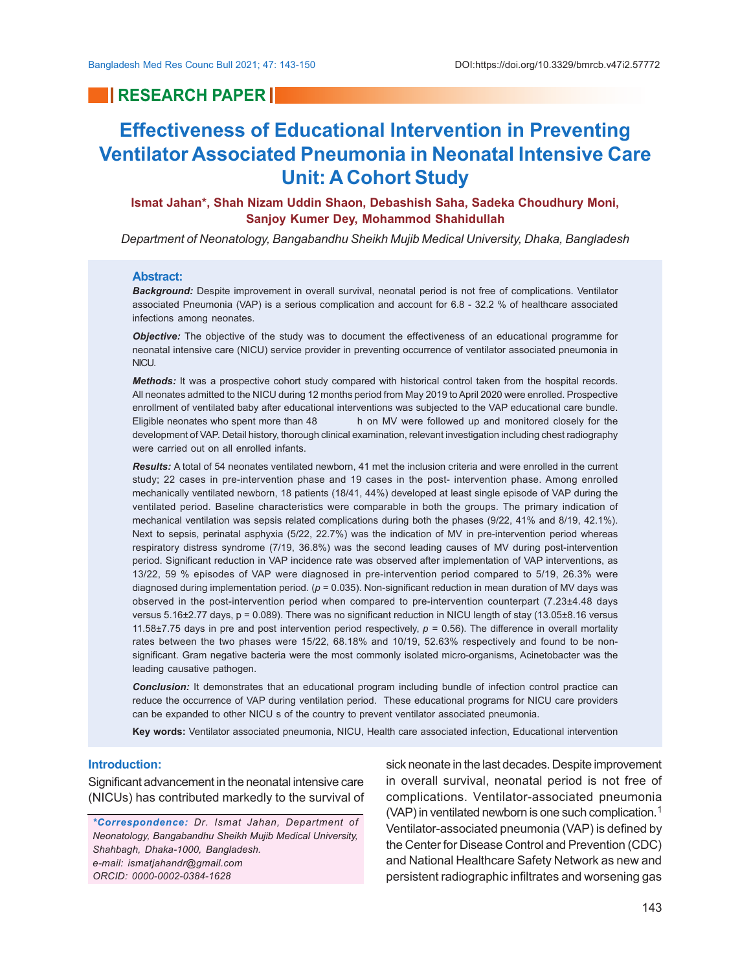# **RESEARCH PAPER INC.**

# **Effectiveness of Educational Intervention in Preventing Ventilator Associated Pneumonia in Neonatal Intensive Care Unit: A Cohort Study**

**Ismat Jahan\*, Shah Nizam Uddin Shaon, Debashish Saha, Sadeka Choudhury Moni, Sanjoy Kumer Dey, Mohammod Shahidullah**

*Department of Neonatology, Bangabandhu Sheikh Mujib Medical University, Dhaka, Bangladesh*

### **Abstract:**

*Background:* Despite improvement in overall survival, neonatal period is not free of complications. Ventilator associated Pneumonia (VAP) is a serious complication and account for 6.8 - 32.2 % of healthcare associated infections among neonates.

*Objective:* The objective of the study was to document the effectiveness of an educational programme for neonatal intensive care (NICU) service provider in preventing occurrence of ventilator associated pneumonia in NICU.

*Methods:* It was a prospective cohort study compared with historical control taken from the hospital records. All neonates admitted to the NICU during 12 months period from May 2019 to April 2020 were enrolled. Prospective enrollment of ventilated baby after educational interventions was subjected to the VAP educational care bundle. Eligible neonates who spent more than 48 h on MV were followed up and monitored closely for the development of VAP. Detail history, thorough clinical examination, relevant investigation including chest radiography were carried out on all enrolled infants.

*Results:* A total of 54 neonates ventilated newborn, 41 met the inclusion criteria and were enrolled in the current study; 22 cases in pre-intervention phase and 19 cases in the post- intervention phase. Among enrolled mechanically ventilated newborn, 18 patients (18/41, 44%) developed at least single episode of VAP during the ventilated period. Baseline characteristics were comparable in both the groups. The primary indication of mechanical ventilation was sepsis related complications during both the phases (9/22, 41% and 8/19, 42.1%). Next to sepsis, perinatal asphyxia (5/22, 22.7%) was the indication of MV in pre-intervention period whereas respiratory distress syndrome (7/19, 36.8%) was the second leading causes of MV during post-intervention period. Significant reduction in VAP incidence rate was observed after implementation of VAP interventions, as 13/22, 59 % episodes of VAP were diagnosed in pre-intervention period compared to 5/19, 26.3% were diagnosed during implementation period. (*p* = 0.035). Non-significant reduction in mean duration of MV days was observed in the post-intervention period when compared to pre-intervention counterpart (7.23±4.48 days versus 5.16±2.77 days, p = 0.089). There was no significant reduction in NICU length of stay (13.05±8.16 versus 11.58 $\pm$ 7.75 days in pre and post intervention period respectively,  $p = 0.56$ ). The difference in overall mortality rates between the two phases were 15/22, 68.18% and 10/19, 52.63% respectively and found to be nonsignificant. Gram negative bacteria were the most commonly isolated micro-organisms, Acinetobacter was the leading causative pathogen.

*Conclusion:* It demonstrates that an educational program including bundle of infection control practice can reduce the occurrence of VAP during ventilation period. These educational programs for NICU care providers can be expanded to other NICU s of the country to prevent ventilator associated pneumonia.

**Key words:** Ventilator associated pneumonia, NICU, Health care associated infection, Educational intervention

# **Introduction:**

Significant advancement in the neonatal intensive care (NICUs) has contributed markedly to the survival of

*\*Correspondence: Dr. Ismat Jahan, Department of Neonatology, Bangabandhu Sheikh Mujib Medical University, Shahbagh, Dhaka-1000, Bangladesh. e-mail: ismatjahandr@gmail.com ORCID: 0000-0002-0384-1628*

sick neonate in the last decades. Despite improvement in overall survival, neonatal period is not free of complications. Ventilator-associated pneumonia (VAP) in ventilated newborn is one such complication.<sup>1</sup> Ventilator-associated pneumonia (VAP) is defined by the Center for Disease Control and Prevention (CDC) and National Healthcare Safety Network as new and persistent radiographic infiltrates and worsening gas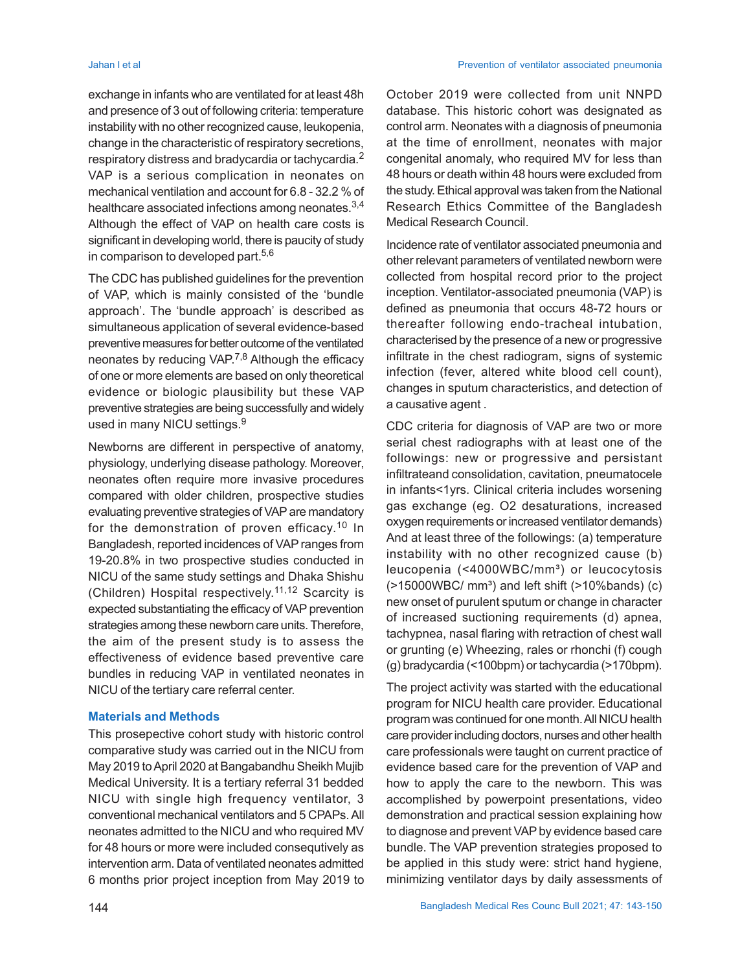Jahan I et al Prevention of ventilator associated pneumonia

exchange in infants who are ventilated for at least 48h and presence of 3 out of following criteria: temperature instability with no other recognized cause, leukopenia, change in the characteristic of respiratory secretions, respiratory distress and bradycardia or tachycardia.<sup>2</sup> VAP is a serious complication in neonates on mechanical ventilation and account for 6.8 - 32.2 % of healthcare associated infections among neonates.<sup>3,4</sup> Although the effect of VAP on health care costs is significant in developing world, there is paucity of study in comparison to developed part. $5,6$ 

The CDC has published guidelines for the prevention of VAP, which is mainly consisted of the 'bundle approach'. The 'bundle approach' is described as simultaneous application of several evidence-based preventive measures for better outcome of the ventilated neonates by reducing VAP.<sup>7,8</sup> Although the efficacy of one or more elements are based on only theoretical evidence or biologic plausibility but these VAP preventive strategies are being successfully and widely used in many NICU settings.<sup>9</sup>

Newborns are different in perspective of anatomy, physiology, underlying disease pathology. Moreover, neonates often require more invasive procedures compared with older children, prospective studies evaluating preventive strategies of VAP are mandatory for the demonstration of proven efficacy. <sup>10</sup> In Bangladesh, reported incidences of VAP ranges from 19-20.8% in two prospective studies conducted in NICU of the same study settings and Dhaka Shishu (Children) Hospital respectively. 11,12 Scarcity is expected substantiating the efficacy of VAP prevention strategies among these newborn care units. Therefore, the aim of the present study is to assess the effectiveness of evidence based preventive care bundles in reducing VAP in ventilated neonates in NICU of the tertiary care referral center.

### **Materials and Methods**

This prosepective cohort study with historic control comparative study was carried out in the NICU from May 2019 to April 2020 at Bangabandhu Sheikh Mujib Medical University. It is a tertiary referral 31 bedded NICU with single high frequency ventilator, 3 conventional mechanical ventilators and 5 CPAPs. All neonates admitted to the NICU and who required MV for 48 hours or more were included consequtively as intervention arm. Data of ventilated neonates admitted 6 months prior project inception from May 2019 to

October 2019 were collected from unit NNPD database. This historic cohort was designated as control arm. Neonates with a diagnosis of pneumonia at the time of enrollment, neonates with major congenital anomaly, who required MV for less than 48 hours or death within 48 hours were excluded from the study. Ethical approval was taken from the National Research Ethics Committee of the Bangladesh Medical Research Council.

Incidence rate of ventilator associated pneumonia and other relevant parameters of ventilated newborn were collected from hospital record prior to the project inception. Ventilator-associated pneumonia (VAP) is defined as pneumonia that occurs 48-72 hours or thereafter following endo-tracheal intubation, characterised by the presence of a new or progressive infiltrate in the chest radiogram, signs of systemic infection (fever, altered white blood cell count), changes in sputum characteristics, and detection of a causative agent .

CDC criteria for diagnosis of VAP are two or more serial chest radiographs with at least one of the followings: new or progressive and persistant infiltrateand consolidation, cavitation, pneumatocele in infants<1yrs. Clinical criteria includes worsening gas exchange (eg. O2 desaturations, increased oxygen requirements or increased ventilator demands) And at least three of the followings: (a) temperature instability with no other recognized cause (b) leucopenia (<4000WBC/mm<sup>3</sup>) or leucocytosis  $($ >15000WBC/ mm<sup>3</sup>) and left shift  $($ >10%bands)  $($ c $)$ new onset of purulent sputum or change in character of increased suctioning requirements (d) apnea, tachypnea, nasal flaring with retraction of chest wall or grunting (e) Wheezing, rales or rhonchi (f) cough (g) bradycardia (<100bpm) or tachycardia (>170bpm).

The project activity was started with the educational program for NICU health care provider. Educational program was continued for one month. All NICU health care provider including doctors, nurses and other health care professionals were taught on current practice of evidence based care for the prevention of VAP and how to apply the care to the newborn. This was accomplished by powerpoint presentations, video demonstration and practical session explaining how to diagnose and prevent VAP by evidence based care bundle. The VAP prevention strategies proposed to be applied in this study were: strict hand hygiene, minimizing ventilator days by daily assessments of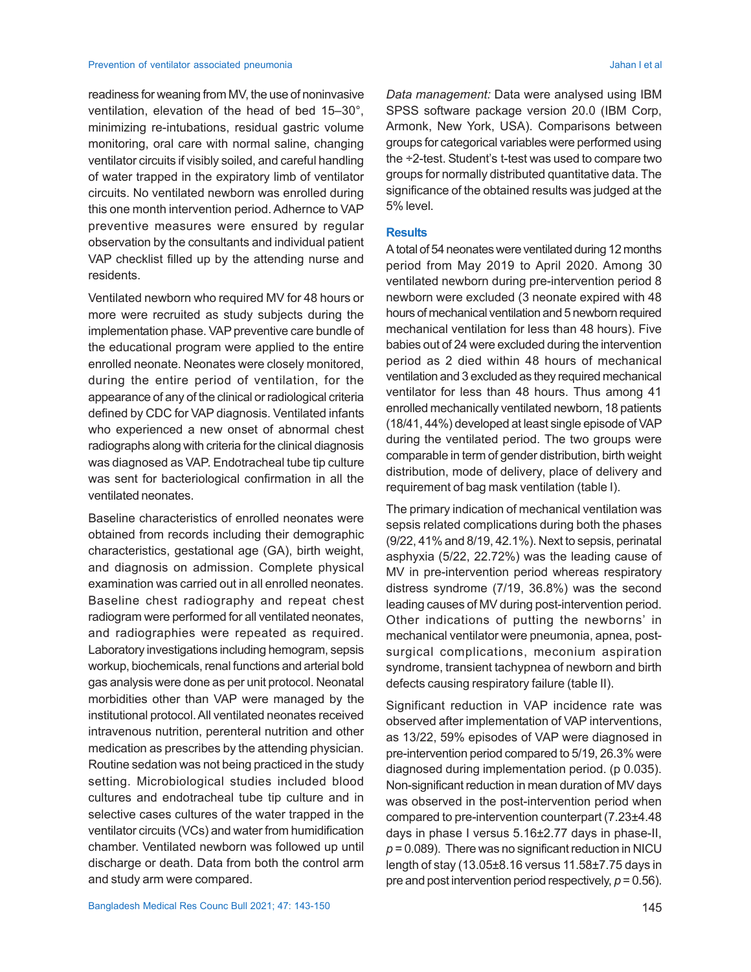readiness for weaning from MV, the use of noninvasive ventilation, elevation of the head of bed 15–30°, minimizing re-intubations, residual gastric volume monitoring, oral care with normal saline, changing ventilator circuits if visibly soiled, and careful handling of water trapped in the expiratory limb of ventilator circuits. No ventilated newborn was enrolled during this one month intervention period. Adhernce to VAP preventive measures were ensured by regular observation by the consultants and individual patient VAP checklist filled up by the attending nurse and residents.

Ventilated newborn who required MV for 48 hours or more were recruited as study subjects during the implementation phase. VAP preventive care bundle of the educational program were applied to the entire enrolled neonate. Neonates were closely monitored, during the entire period of ventilation, for the appearance of any of the clinical or radiological criteria defined by CDC for VAP diagnosis. Ventilated infants who experienced a new onset of abnormal chest radiographs along with criteria for the clinical diagnosis was diagnosed as VAP. Endotracheal tube tip culture was sent for bacteriological confirmation in all the ventilated neonates.

Baseline characteristics of enrolled neonates were obtained from records including their demographic characteristics, gestational age (GA), birth weight, and diagnosis on admission. Complete physical examination was carried out in all enrolled neonates. Baseline chest radiography and repeat chest radiogram were performed for all ventilated neonates, and radiographies were repeated as required. Laboratory investigations including hemogram, sepsis workup, biochemicals, renal functions and arterial bold gas analysis were done as per unit protocol. Neonatal morbidities other than VAP were managed by the institutional protocol. All ventilated neonates received intravenous nutrition, perenteral nutrition and other medication as prescribes by the attending physician. Routine sedation was not being practiced in the study setting. Microbiological studies included blood cultures and endotracheal tube tip culture and in selective cases cultures of the water trapped in the ventilator circuits (VCs) and water from humidification chamber. Ventilated newborn was followed up until discharge or death. Data from both the control arm and study arm were compared.

*Data management:* Data were analysed using IBM SPSS software package version 20.0 (IBM Corp, Armonk, New York, USA). Comparisons between groups for categorical variables were performed using the ÷2-test. Student's t-test was used to compare two groups for normally distributed quantitative data. The significance of the obtained results was judged at the 5% level.

#### **Results**

A total of 54 neonates were ventilated during 12 months period from May 2019 to April 2020. Among 30 ventilated newborn during pre-intervention period 8 newborn were excluded (3 neonate expired with 48 hours of mechanical ventilation and 5 newborn required mechanical ventilation for less than 48 hours). Five babies out of 24 were excluded during the intervention period as 2 died within 48 hours of mechanical ventilation and 3 excluded as they required mechanical ventilator for less than 48 hours. Thus among 41 enrolled mechanically ventilated newborn, 18 patients (18/41, 44%) developed at least single episode of VAP during the ventilated period. The two groups were comparable in term of gender distribution, birth weight distribution, mode of delivery, place of delivery and requirement of bag mask ventilation (table I).

The primary indication of mechanical ventilation was sepsis related complications during both the phases (9/22, 41% and 8/19, 42.1%). Next to sepsis, perinatal asphyxia (5/22, 22.72%) was the leading cause of MV in pre-intervention period whereas respiratory distress syndrome (7/19, 36.8%) was the second leading causes of MV during post-intervention period. Other indications of putting the newborns' in mechanical ventilator were pneumonia, apnea, postsurgical complications, meconium aspiration syndrome, transient tachypnea of newborn and birth defects causing respiratory failure (table II).

Significant reduction in VAP incidence rate was observed after implementation of VAP interventions, as 13/22, 59% episodes of VAP were diagnosed in pre-intervention period compared to 5/19, 26.3% were diagnosed during implementation period. (p 0.035). Non-significant reduction in mean duration of MV days was observed in the post-intervention period when compared to pre-intervention counterpart (7.23±4.48 days in phase I versus 5.16±2.77 days in phase-II, *p* = 0.089). There was no significant reduction in NICU length of stay (13.05±8.16 versus 11.58±7.75 days in pre and post intervention period respectively, *p* = 0.56).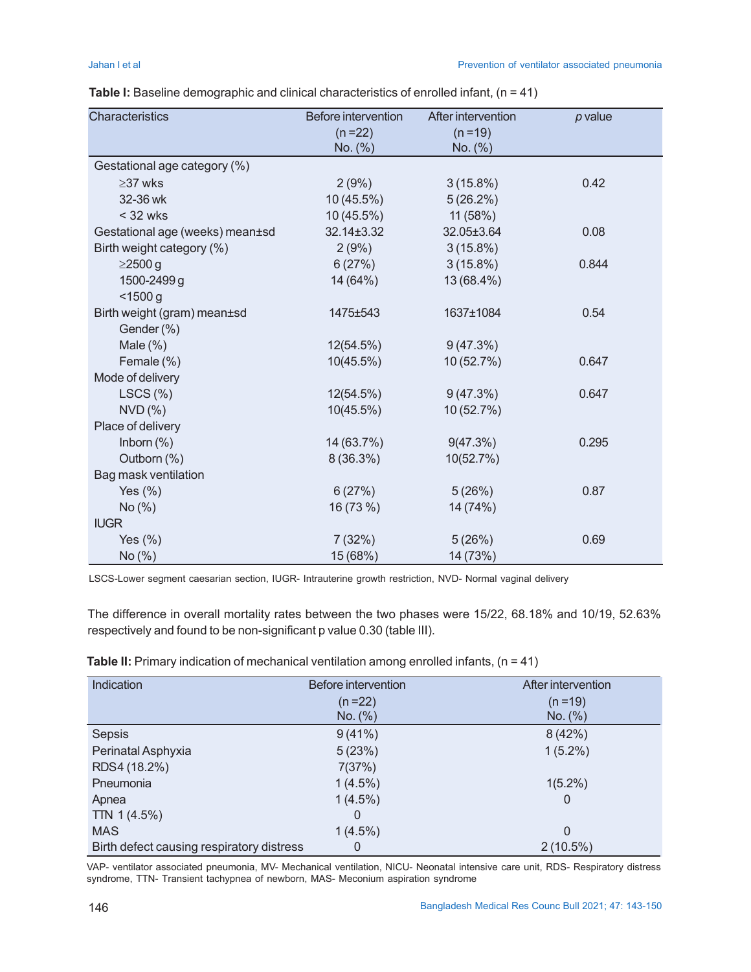| Characteristics                 | Before intervention | After intervention | $p$ value |
|---------------------------------|---------------------|--------------------|-----------|
|                                 | $(n=22)$            | $(n=19)$           |           |
|                                 | No. (%)             | No. (%)            |           |
| Gestational age category (%)    |                     |                    |           |
| $\geq$ 37 wks                   | 2(9%)               | $3(15.8\%)$        | 0.42      |
| 32-36 wk                        | 10 (45.5%)          | 5(26.2%)           |           |
| $<$ 32 wks                      | 10 (45.5%)          | 11 (58%)           |           |
| Gestational age (weeks) mean±sd | 32.14±3.32          | 32.05±3.64         | 0.08      |
| Birth weight category (%)       | 2(9%)               | $3(15.8\%)$        |           |
| $\geq$ 2500 g                   | 6(27%)              | $3(15.8\%)$        | 0.844     |
| 1500-2499 g                     | 14 (64%)            | 13 (68.4%)         |           |
| < 1500 g                        |                     |                    |           |
| Birth weight (gram) mean±sd     | 1475±543            | 1637±1084          | 0.54      |
| Gender (%)                      |                     |                    |           |
| Male $(\%)$                     | 12(54.5%)           | 9(47.3%)           |           |
| Female (%)                      | 10(45.5%)           | 10 (52.7%)         | 0.647     |
| Mode of delivery                |                     |                    |           |
| LSCS(%)                         | 12(54.5%)           | 9(47.3%)           | 0.647     |
| NVD(%)                          | 10(45.5%)           | 10 (52.7%)         |           |
| Place of delivery               |                     |                    |           |
| Inborn $(\%)$                   | 14 (63.7%)          | 9(47.3%)           | 0.295     |
| Outborn (%)                     | $8(36.3\%)$         | 10(52.7%)          |           |
| Bag mask ventilation            |                     |                    |           |
| Yes $(\% )$                     | 6(27%)              | 5(26%)             | 0.87      |
| No(%)                           | 16 (73 %)           | 14 (74%)           |           |
| <b>IUGR</b>                     |                     |                    |           |
| Yes $(\%)$                      | 7(32%)              | 5(26%)             | 0.69      |
| No (%)                          | 15 (68%)            | 14 (73%)           |           |

|  | <b>Table I:</b> Baseline demographic and clinical characteristics of enrolled infant, ( $n = 41$ ) |
|--|----------------------------------------------------------------------------------------------------|
|--|----------------------------------------------------------------------------------------------------|

LSCS-Lower segment caesarian section, IUGR- Intrauterine growth restriction, NVD- Normal vaginal delivery

The difference in overall mortality rates between the two phases were 15/22, 68.18% and 10/19, 52.63% respectively and found to be non-significant p value 0.30 (table III).

| Indication                                | Before intervention | After intervention |
|-------------------------------------------|---------------------|--------------------|
|                                           | $(n=22)$            | $(n=19)$           |
|                                           | No. (%)             | No. (%)            |
| Sepsis                                    | 9(41%)              | 8(42%)             |
| Perinatal Asphyxia                        | 5(23%)              | $1(5.2\%)$         |
| RDS4 (18.2%)                              | 7(37%)              |                    |
| Pneumonia                                 | $1(4.5\%)$          | $1(5.2\%)$         |
| Apnea                                     | $1(4.5\%)$          | 0                  |
| TTN $1(4.5%)$                             | 0                   |                    |
| <b>MAS</b>                                | $1(4.5\%)$          | 0                  |
| Birth defect causing respiratory distress | 0                   | $2(10.5\%)$        |

**Table II:** Primary indication of mechanical ventilation among enrolled infants, (n = 41)

VAP- ventilator associated pneumonia, MV- Mechanical ventilation, NICU- Neonatal intensive care unit, RDS- Respiratory distress syndrome, TTN- Transient tachypnea of newborn, MAS- Meconium aspiration syndrome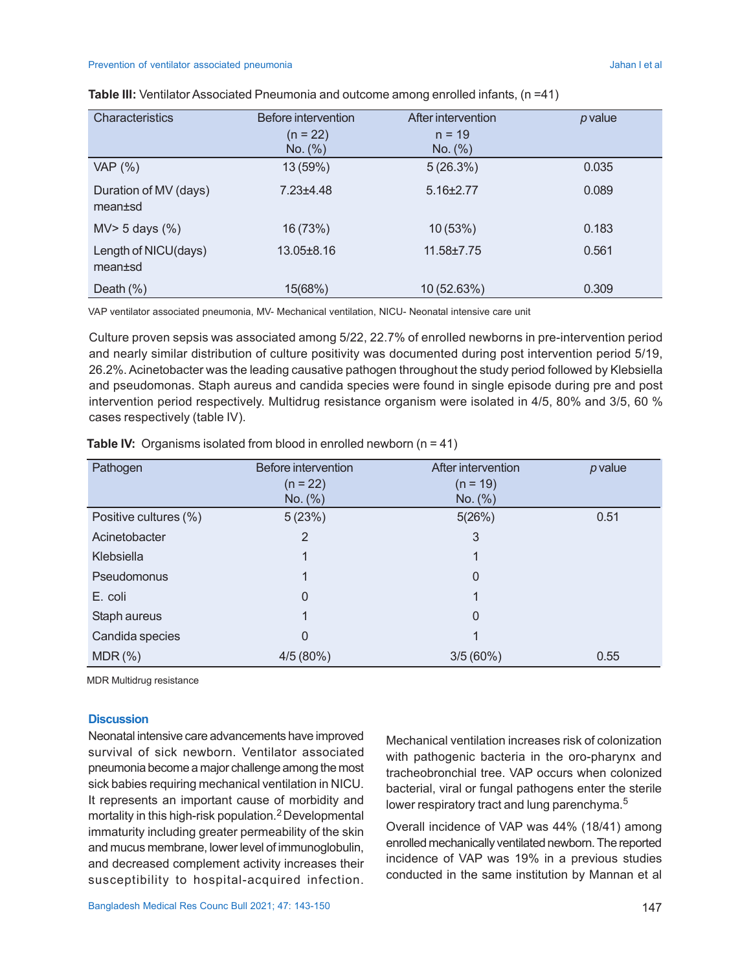#### Prevention of ventilator associated pneumonia **Access 1986** and 2009 and 2009 and 2009 and 2009 and 2009 and 2009 and 2009 and 2009 and 2009 and 2009 and 2009 and 2009 and 2009 and 2009 and 2009 and 2009 and 2009 and 2009

| <b>Characteristics</b>           | Before intervention | After intervention | p value |
|----------------------------------|---------------------|--------------------|---------|
|                                  | $(n = 22)$          | $n = 19$           |         |
|                                  | No. (%)             | No. (%)            |         |
| VAP (%)                          | 13 (59%)            | 5(26.3%)           | 0.035   |
| Duration of MV (days)<br>mean±sd | $7.23 \pm 4.48$     | $5.16 \pm 2.77$    | 0.089   |
| $MV > 5$ days $(\%)$             | 16 (73%)            | 10 (53%)           | 0.183   |
| Length of NICU(days)<br>mean±sd  | 13.05±8.16          | $11.58 \pm 7.75$   | 0.561   |
| Death $(\%)$                     | 15(68%)             | 10 (52.63%)        | 0.309   |

|  | Table III: Ventilator Associated Pneumonia and outcome among enrolled infants, (n =41) |  |  |  |
|--|----------------------------------------------------------------------------------------|--|--|--|
|--|----------------------------------------------------------------------------------------|--|--|--|

VAP ventilator associated pneumonia, MV- Mechanical ventilation, NICU- Neonatal intensive care unit

Culture proven sepsis was associated among 5/22, 22.7% of enrolled newborns in pre-intervention period and nearly similar distribution of culture positivity was documented during post intervention period 5/19, 26.2%. Acinetobacter was the leading causative pathogen throughout the study period followed by Klebsiella and pseudomonas. Staph aureus and candida species were found in single episode during pre and post intervention period respectively. Multidrug resistance organism were isolated in 4/5, 80% and 3/5, 60 % cases respectively (table IV).

| Pathogen              | <b>Before intervention</b> | After intervention | $p$ value |
|-----------------------|----------------------------|--------------------|-----------|
|                       | $(n = 22)$                 | $(n = 19)$         |           |
|                       | No. (%)                    | No. (%)            |           |
| Positive cultures (%) | 5(23%)                     | 5(26%)             | 0.51      |
| Acinetobacter         | 2                          | 3                  |           |
| Klebsiella            | 1                          | 1                  |           |
| Pseudomonus           |                            | 0                  |           |
| E. coli               | 0                          |                    |           |
| Staph aureus          |                            | 0                  |           |
| Candida species       | 0                          |                    |           |
| $MDR$ $%$             | 4/5(80%)                   | 3/5(60%)           | 0.55      |

**Table IV:** Organisms isolated from blood in enrolled newborn (n = 41)

MDR Multidrug resistance

#### **Discussion**

Neonatal intensive care advancements have improved survival of sick newborn. Ventilator associated pneumonia become a major challenge among the most sick babies requiring mechanical ventilation in NICU. It represents an important cause of morbidity and mortality in this high-risk population.2 Developmental immaturity including greater permeability of the skin and mucus membrane, lower level of immunoglobulin, and decreased complement activity increases their susceptibility to hospital-acquired infection.

Mechanical ventilation increases risk of colonization with pathogenic bacteria in the oro-pharynx and tracheobronchial tree. VAP occurs when colonized bacterial, viral or fungal pathogens enter the sterile lower respiratory tract and lung parenchyma.<sup>5</sup>

Overall incidence of VAP was 44% (18/41) among enrolled mechanically ventilated newborn. The reported incidence of VAP was 19% in a previous studies conducted in the same institution by Mannan et al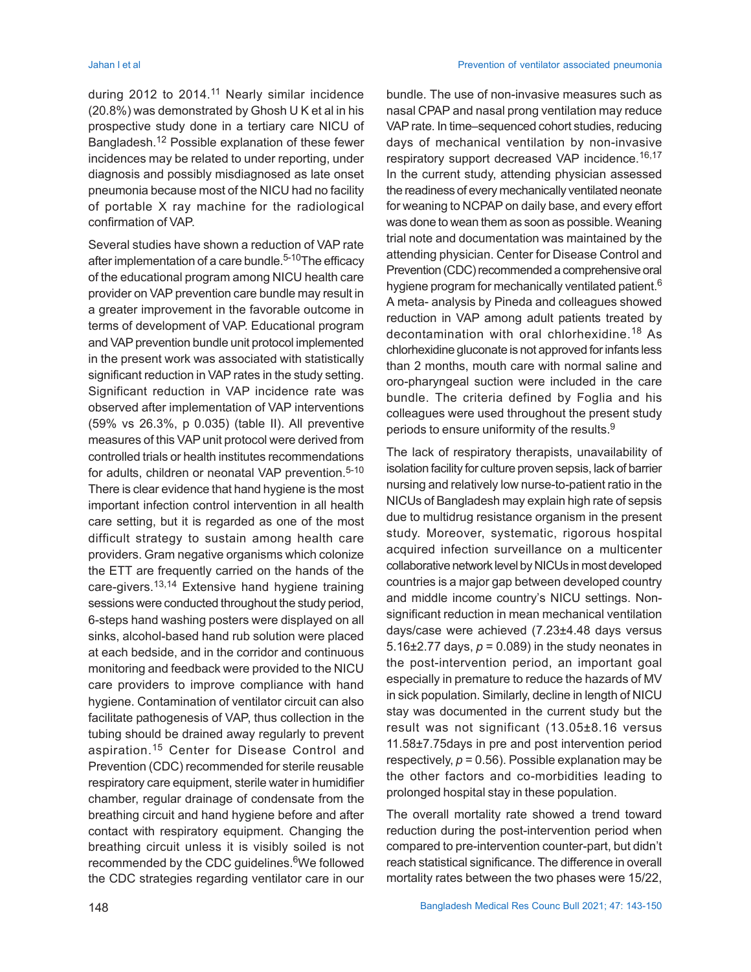during 2012 to 2014.<sup>11</sup> Nearly similar incidence (20.8%) was demonstrated by Ghosh U K et al in his prospective study done in a tertiary care NICU of Bangladesh.12 Possible explanation of these fewer incidences may be related to under reporting, under diagnosis and possibly misdiagnosed as late onset pneumonia because most of the NICU had no facility of portable X ray machine for the radiological confirmation of VAP.

Several studies have shown a reduction of VAP rate after implementation of a care bundle.<sup>5-10</sup>The efficacy of the educational program among NICU health care provider on VAP prevention care bundle may result in a greater improvement in the favorable outcome in terms of development of VAP. Educational program and VAP prevention bundle unit protocol implemented in the present work was associated with statistically significant reduction in VAP rates in the study setting. Significant reduction in VAP incidence rate was observed after implementation of VAP interventions (59% vs 26.3%, p 0.035) (table II). All preventive measures of this VAP unit protocol were derived from controlled trials or health institutes recommendations for adults, children or neonatal VAP prevention.<sup>5-10</sup> There is clear evidence that hand hygiene is the most important infection control intervention in all health care setting, but it is regarded as one of the most difficult strategy to sustain among health care providers. Gram negative organisms which colonize the ETT are frequently carried on the hands of the care-givers.13,14 Extensive hand hygiene training sessions were conducted throughout the study period, 6-steps hand washing posters were displayed on all sinks, alcohol-based hand rub solution were placed at each bedside, and in the corridor and continuous monitoring and feedback were provided to the NICU care providers to improve compliance with hand hygiene. Contamination of ventilator circuit can also facilitate pathogenesis of VAP, thus collection in the tubing should be drained away regularly to prevent aspiration.15 Center for Disease Control and Prevention (CDC) recommended for sterile reusable respiratory care equipment, sterile water in humidifier chamber, regular drainage of condensate from the breathing circuit and hand hygiene before and after contact with respiratory equipment. Changing the breathing circuit unless it is visibly soiled is not recommended by the CDC guidelines.<sup>6</sup>We followed the CDC strategies regarding ventilator care in our

bundle. The use of non-invasive measures such as nasal CPAP and nasal prong ventilation may reduce VAP rate. In time–sequenced cohort studies, reducing days of mechanical ventilation by non-invasive respiratory support decreased VAP incidence.<sup>16,17</sup> In the current study, attending physician assessed the readiness of every mechanically ventilated neonate for weaning to NCPAP on daily base, and every effort was done to wean them as soon as possible. Weaning trial note and documentation was maintained by the attending physician. Center for Disease Control and Prevention (CDC) recommended a comprehensive oral hygiene program for mechanically ventilated patient.<sup>6</sup> A meta- analysis by Pineda and colleagues showed reduction in VAP among adult patients treated by decontamination with oral chlorhexidine.<sup>18</sup> As chlorhexidine gluconate is not approved for infants less than 2 months, mouth care with normal saline and oro-pharyngeal suction were included in the care bundle. The criteria defined by Foglia and his colleagues were used throughout the present study periods to ensure uniformity of the results.<sup>9</sup>

The lack of respiratory therapists, unavailability of isolation facility for culture proven sepsis, lack of barrier nursing and relatively low nurse-to-patient ratio in the NICUs of Bangladesh may explain high rate of sepsis due to multidrug resistance organism in the present study. Moreover, systematic, rigorous hospital acquired infection surveillance on a multicenter collaborative network level by NICUs in most developed countries is a major gap between developed country and middle income country's NICU settings. Nonsignificant reduction in mean mechanical ventilation days/case were achieved (7.23±4.48 days versus 5.16 $\pm$ 2.77 days,  $p = 0.089$ ) in the study neonates in the post-intervention period, an important goal especially in premature to reduce the hazards of MV in sick population. Similarly, decline in length of NICU stay was documented in the current study but the result was not significant (13.05±8.16 versus 11.58±7.75days in pre and post intervention period respectively,  $p = 0.56$ ). Possible explanation may be the other factors and co-morbidities leading to prolonged hospital stay in these population.

The overall mortality rate showed a trend toward reduction during the post-intervention period when compared to pre-intervention counter-part, but didn't reach statistical significance. The difference in overall mortality rates between the two phases were 15/22,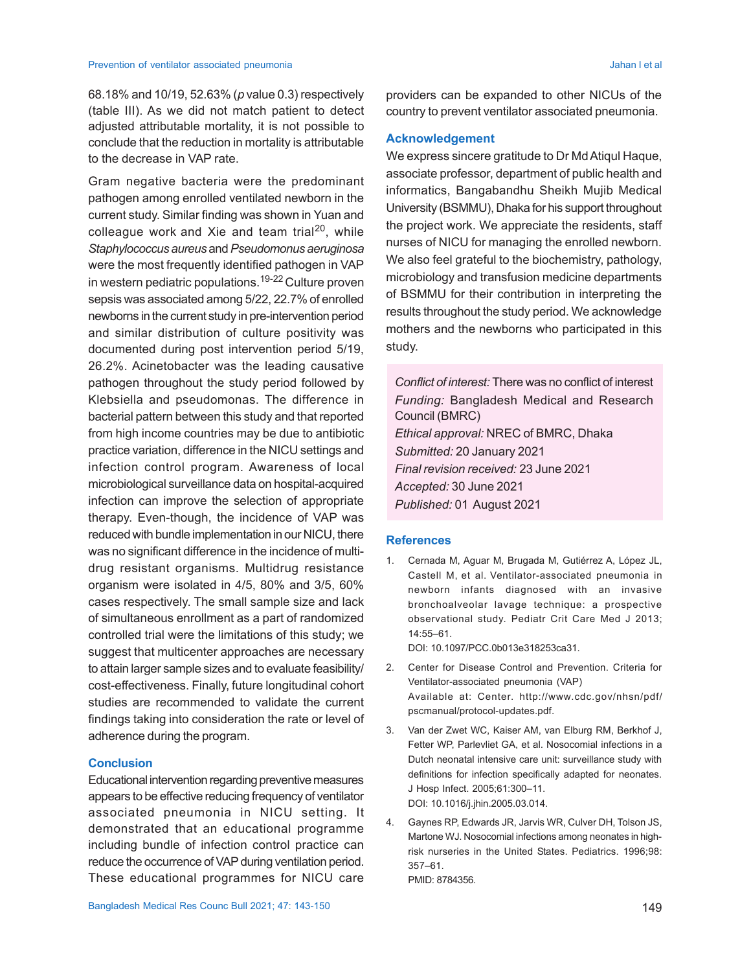68.18% and 10/19, 52.63% (*p* value 0.3) respectively (table III). As we did not match patient to detect adjusted attributable mortality, it is not possible to conclude that the reduction in mortality is attributable to the decrease in VAP rate.

Gram negative bacteria were the predominant pathogen among enrolled ventilated newborn in the current study. Similar finding was shown in Yuan and colleague work and Xie and team trial<sup>20</sup>, while *Staphylococcus aureus* and *Pseudomonus aeruginosa* were the most frequently identified pathogen in VAP in western pediatric populations.<sup>19-22</sup> Culture proven sepsis was associated among 5/22, 22.7% of enrolled newborns in the current study in pre-intervention period and similar distribution of culture positivity was documented during post intervention period 5/19, 26.2%. Acinetobacter was the leading causative pathogen throughout the study period followed by Klebsiella and pseudomonas. The difference in bacterial pattern between this study and that reported from high income countries may be due to antibiotic practice variation, difference in the NICU settings and infection control program. Awareness of local microbiological surveillance data on hospital-acquired infection can improve the selection of appropriate therapy. Even-though, the incidence of VAP was reduced with bundle implementation in our NICU, there was no significant difference in the incidence of multidrug resistant organisms. Multidrug resistance organism were isolated in 4/5, 80% and 3/5, 60% cases respectively. The small sample size and lack of simultaneous enrollment as a part of randomized controlled trial were the limitations of this study; we suggest that multicenter approaches are necessary to attain larger sample sizes and to evaluate feasibility/ cost-effectiveness. Finally, future longitudinal cohort studies are recommended to validate the current findings taking into consideration the rate or level of adherence during the program.

# **Conclusion**

Educational intervention regarding preventive measures appears to be effective reducing frequency of ventilator associated pneumonia in NICU setting. It demonstrated that an educational programme including bundle of infection control practice can reduce the occurrence of VAP during ventilation period. These educational programmes for NICU care providers can be expanded to other NICUs of the country to prevent ventilator associated pneumonia.

# **Acknowledgement**

We express sincere gratitude to Dr Md Atiqul Haque, associate professor, department of public health and informatics, Bangabandhu Sheikh Mujib Medical University (BSMMU), Dhaka for his support throughout the project work. We appreciate the residents, staff nurses of NICU for managing the enrolled newborn. We also feel grateful to the biochemistry, pathology, microbiology and transfusion medicine departments of BSMMU for their contribution in interpreting the results throughout the study period. We acknowledge mothers and the newborns who participated in this study.

*Conflict of interest:* There was no conflict of interest *Funding:* Bangladesh Medical and Research Council (BMRC) *Ethical approval:* NREC of BMRC, Dhaka *Submitted:* 20 January 2021 *Final revision received:* 23 June 2021 *Accepted:* 30 June 2021 *Published:* 01 August 2021

# **References**

1. Cernada M, Aguar M, Brugada M, Gutiérrez A, López JL, Castell M, et al. Ventilator-associated pneumonia in newborn infants diagnosed with an invasive bronchoalveolar lavage technique: a prospective observational study. Pediatr Crit Care Med J 2013; 14:55–61.

DOI: 10.1097/PCC.0b013e318253ca31.

- 2. Center for Disease Control and Prevention. Criteria for Ventilator-associated pneumonia (VAP) Available at: Center. http://www.cdc.gov/nhsn/pdf/ pscmanual/protocol-updates.pdf.
- 3. Van der Zwet WC, Kaiser AM, van Elburg RM, Berkhof J, Fetter WP, Parlevliet GA, et al. Nosocomial infections in a Dutch neonatal intensive care unit: surveillance study with definitions for infection specifically adapted for neonates. J Hosp Infect. 2005;61:300–11. DOI: 10.1016/j.jhin.2005.03.014.
- 4. Gaynes RP, Edwards JR, Jarvis WR, Culver DH, Tolson JS, Martone WJ. Nosocomial infections among neonates in highrisk nurseries in the United States. Pediatrics. 1996;98: 357–61. PMID: 8784356.